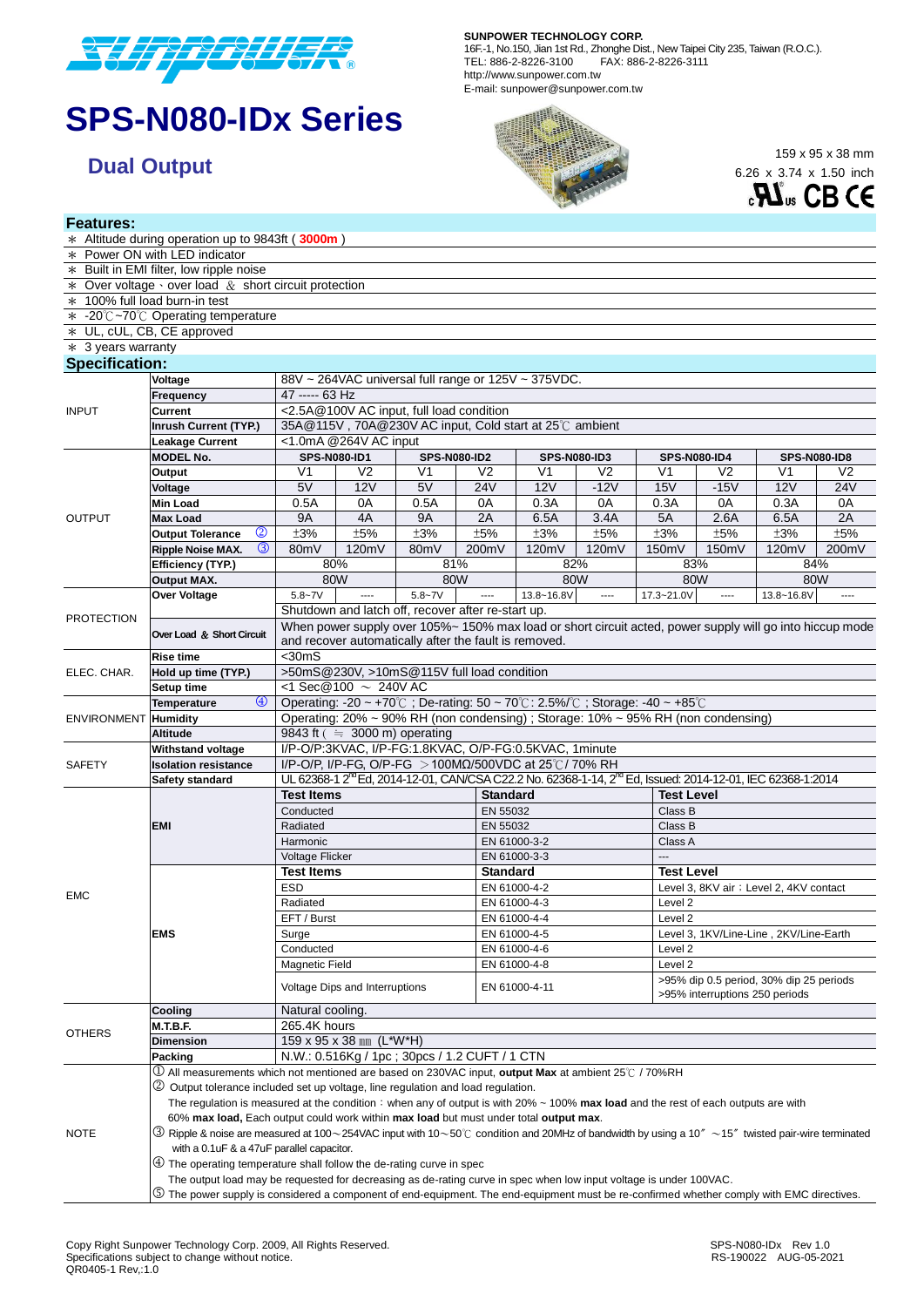

# **SPS-N080-IDx Series**

**Features:**

#### **SUNPOWER TECHNOLOGY CORP.**

16F.-1, No.150, Jian 1st Rd., Zhonghe Dist., New Taipei City 235, Taiwan (R.O.C.).<br>TEL: 886-2-8226-3100 FAX: 886-2-8226-3111 TEL: 886-2-8226-3100 FAX: 886-2-8226-3111 http://www.sunpower.com.tw E-mail: sunpower@sunpower.com.tw



6.26 x 3.74 x 1.50 inch



#### \* Altitude during operation up to 9843ft ( **3000m** ) \* Power ON with LED indicator \* Built in EMI filter, low ripple noise  $*$  Over voltage  $\cdot$  over load  $\&$  short circuit protection \* 100% full load burn-in test \* -20℃~70℃ Operating temperature \* UL, cUL, CB, CE approved 3 years warranty **Specification:** INPUT **Voltage** 88V ~ 264VAC universal full range or 125V ~ 375VDC. **Frequency** 47 ----- 63 Hz **Current** <2.5A@100V AC input, full load condition **Inrush Current (TYP.)** 35A@115V , 70A@230V AC input, Cold start at 25℃ ambient Leakage Current <1.0mA @264V AC input OUTPUT **MODEL No. SPS-N080-ID1 SPS-N080-ID2 SPS-N080-ID3 SPS-N080-ID4 SPS-N080-ID8 Output** V1 V2 V1 V2 V1 V2 V1 V2 V1 V2 **Voltage** 5V 12V 5V 24V 12V -12V 15V -15V 12V 24V **Min Load | 0.5A | 0A | 0.5A | 0A | 0.3A | 0A | 0.3A | 0.3A | 0A** | 0.3A | 0A **Max Load 9A 4A 9A 2A 6.5A 3.4A 5A 2.6A 6.5A 2A Output Tolerance** ±3% ±5% ±3% ±5% ±3% ±5% ±3% ±5% ±3% ±5% **Ripple Noise MAX.** 3 80mV 120mV 80mV 200mV 120mV 120mV 150mV 150mV 120mV 200mV **Efficiency (TYP.)** 80% 81% 832% 82% 83% 84% **Output MAX. | 80W | 80W | 80W | 80W** | 80W PROTECTION **Over Voltage**  $\begin{array}{|c|c|c|c|c|c|} \hline 5.8~70 & -12.8 & -12.8 & -12.8 & -12.8 & -12.8 & -12.8 & -12.8 & -12.8 & -12.8 & -12.8 & -12.8 & -12.8 & -12.8 & -12.8 & -12.8 & -12.8 & -12.8 & -12.8 & -12.8 & -12.8 & -12.8 & -12.8 & -12.8 & -12.8 & -12.8 & -12.8 & -12.8 & -12.8 & -12.8 & -1$ Shutdown and latch off, recover after re-start up.  $17.3 - 21.0V$  ---- 13.8~16.8V **Over Load** & **Short Circuit** When power supply over 105%~ 150% max load or short circuit acted, power supply will go into hiccup mode and recover automatically after the fault is removed. ELEC. CHAR. **Rise time** <30mS **Hold up time (TYP.)** >50mS@230V, >10mS@115V full load condition **Setup time** <1 Sec@100 ~ 240V AC ENVIRONMENT **Temperature** <sup>4</sup> Operating: -20 ~ +70℃; De-rating: 50 ~ 70℃: 2.5%/℃; Storage: -40 ~ +85℃ **Humidity** Operating: 20% ~ 90% RH (non condensing) ; Storage: 10% ~ 95% RH (non condensing) **Altitude** 9843 ft ( ≒ 3000 m) operating **SAFETY** Withstand voltage | I/P-O/P:3KVAC, I/P-FG:1.8KVAC, O/P-FG:0.5KVAC, 1minute **Isolation resistance** I/P-O/P, I/P-FG, O/P-FG >100MΩ/500VDC at 25℃/ 70% RH Safety standard UL 62368-1 2<sup>nd</sup> Ed, 2014-12-01, CAN/CSA C22.2 No. 62368-1-14, 2<sup>nd</sup> Ed, Issued: 2014-12-01, IEC 62368-1:2014 EMC **EMI Test Items Standard Test Level** Conducted EN 55032 Class B Radiated **EN 55032** Class B Harmonic EN 61000-3-2 Class A Voltage Flicker **EN 61000-3-3 EMS Test Items Standard Test Level** ESD ESD EN 61000-4-2 Level 3, 8KV air ; Level 2, 4KV contact Radiated EN 61000-4-3 EFT / Burst **EN 61000-4-4** Level 2 Surge **EN 61000-4-5** Level 3, 1KV/Line-Line , 2KV/Line-Earth Conducted EN 61000-4-6 Level 2 Magnetic Field **EN 61000-4-8** Level 2 Voltage Dips and Interruptions **EN 61000-4-11** >95% dip 0.5 period, 30% dip 25 periods >95% interruptions 250 periods **OTHERS Cooling** Natural cooling **M.T.B.F.** 265.4K hours **Dimension** 159 x 95 x 38 mm (L\*W\*H) Packing **N.W.: 0.516Kg / 1pc ; 30pcs / 1.2 CUFT / 1 CTN NOTE**  All measurements which not mentioned are based on 230VAC input, **output Max** at ambient 25℃ / 70%RH Output tolerance included set up voltage, line regulation and load regulation. The regulation is measured at the condition: when any of output is with 20% ~ 100% max load and the rest of each outputs are with 60% **max load,** Each output could work within **max load** but must under total **output max**. Ripple & noise are measured at 100〜254VAC input with 10〜50℃ condition and 20MHz of bandwidth by using a 10〞〜15〞twisted pair-wire terminated with a 0.1uF & a 47uF parallel capacitor. The operating temperature shall follow the de-rating curve in spec The output load may be requested for decreasing as de-rating curve in spec when low input voltage is under 100VAC. The power supply is considered a component of end-equipment. The end-equipment must be re-confirmed whether comply with EMC directives.